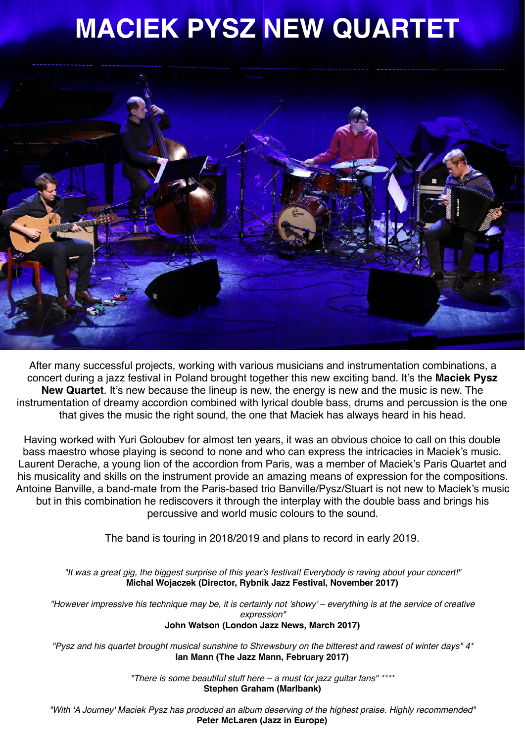## **MACIEK PYSZ NEW QUARTET**



After many successful projects, working with various musicians and instrumentation combinations, a concert during a jazz festival in Poland brought together this new exciting band. It's the **Maciek Pysz New Quartet**. It's new because the lineup is new, the energy is new and the music is new. The instrumentation of dreamy accordion combined with lyrical double bass, drums and percussion is the one that gives the music the right sound, the one that Maciek has always heard in his head.

Having worked with Yuri Goloubev for almost ten years, it was an obvious choice to call on this double bass maestro whose playing is second to none and who can express the intricacies in Maciek's music. Laurent Derache, a young lion of the accordion from Paris, was a member of Maciek's Paris Quartet and his musicality and skills on the instrument provide an amazing means of expression for the compositions. Antoine Banville, a band-mate from the Paris-based trio Banville/Pysz/Stuart is not new to Maciek's music but in this combination he rediscovers it through the interplay with the double bass and brings his percussive and world music colours to the sound.

The band is touring in 2018/2019 and plans to record in early 2019.

*"It was a great gig, the biggest surprise of this year's festival! Everybody is raving about your concert!"*  **Michal Wojaczek (Director, Rybnik Jazz Festival, November 2017)** 

*["However impressive his technique may be, it is certainly not 'showy'](http://www.londonjazznews.com/2017/03/review-maciek-pysz-quartet-at-red-lion.html) – everything is at the service of creative [expression"](http://www.londonjazznews.com/2017/03/review-maciek-pysz-quartet-at-red-lion.html)* **[John Watson \(London Jazz News, March 2017\)](http://www.londonjazznews.com/2017/03/review-maciek-pysz-quartet-at-red-lion.html)**

*["Pysz and his quartet brought musical sunshine to Shrewsbury on the bitterest and rawest of winter days" 4\\*](http://www.thejazzmann.com/reviews/review/maciek-pysz-quartet-the-hive-music-media-centre-shrewsbury-11-02-2017/)* **[Ian Mann \(The Jazz Mann, February 2017\)](http://www.thejazzmann.com/reviews/review/maciek-pysz-quartet-the-hive-music-media-centre-shrewsbury-11-02-2017/)**

> *["There is some beautiful stuff here – a must for jazz guitar fans"](http://www.marlbank.net/reviews/3146-maciek-pysz-a-journey-dot-time-records-recommended.html) \*\*\*\** **Stephen Graham (Marlbank)**

*"With 'A Journey' [Maciek Pysz has produced an album deserving of the highest praise. Highly recommended"](http://jazzineurope.mfmmedia.nl/2015/10/cd-review-maciek-pysz-a-journey/)* **[Peter McLaren \(Jazz in Europe\)](http://jazzineurope.mfmmedia.nl/2015/10/cd-review-maciek-pysz-a-journey/)**